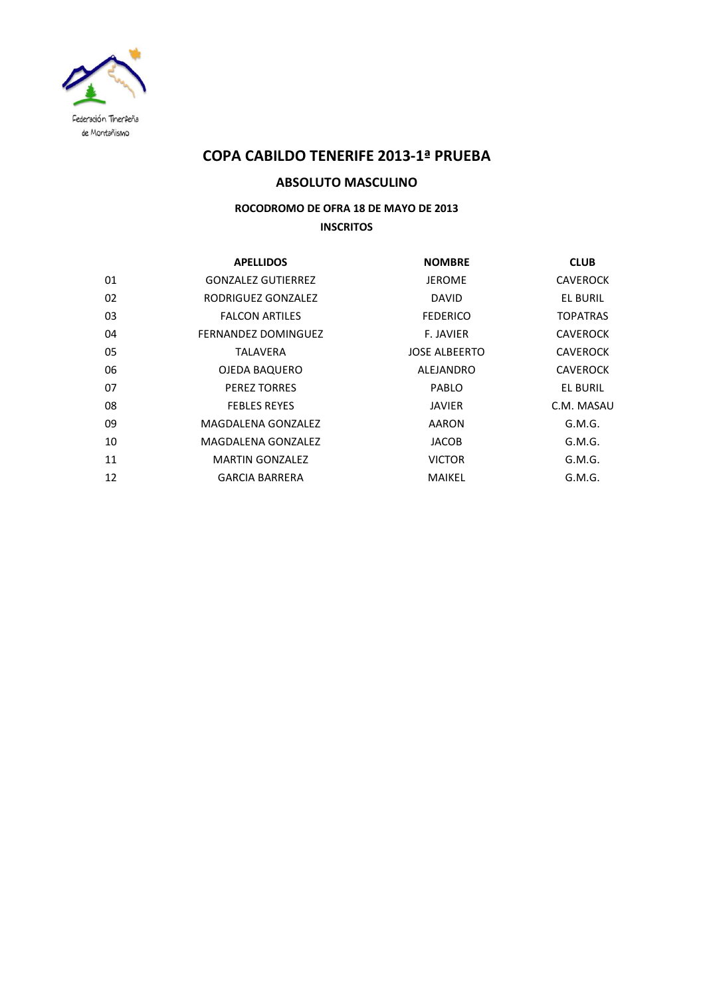

## **ABSOLUTO MASCULINO**

# **ROCODROMO DE OFRA 18 DE MAYO DE 2013 INSCRITOS**

|    | <b>APELLIDOS</b>          | <b>NOMBRE</b>        | <b>CLUB</b>     |
|----|---------------------------|----------------------|-----------------|
| 01 | <b>GONZALEZ GUTIERREZ</b> | <b>JEROME</b>        | <b>CAVEROCK</b> |
| 02 | RODRIGUEZ GONZALEZ        | <b>DAVID</b>         | <b>EL BURIL</b> |
| 03 | <b>FALCON ARTILES</b>     | <b>FEDERICO</b>      | <b>TOPATRAS</b> |
| 04 | FERNANDEZ DOMINGUEZ       | <b>F. JAVIER</b>     | <b>CAVEROCK</b> |
| 05 | TALAVERA                  | <b>JOSE ALBEERTO</b> | <b>CAVEROCK</b> |
| 06 | OJEDA BAQUERO             | ALEJANDRO            | <b>CAVEROCK</b> |
| 07 | <b>PEREZ TORRES</b>       | PABLO                | EL BURIL        |
| 08 | <b>FEBLES REYES</b>       | <b>JAVIER</b>        | C.M. MASAU      |
| 09 | MAGDALENA GONZALEZ        | AARON                | G.M.G.          |
| 10 | MAGDALENA GONZALEZ        | <b>JACOB</b>         | G.M.G.          |
| 11 | <b>MARTIN GONZALEZ</b>    | <b>VICTOR</b>        | G.M.G.          |
| 12 | <b>GARCIA BARRERA</b>     | MAIKEL               | G.M.G.          |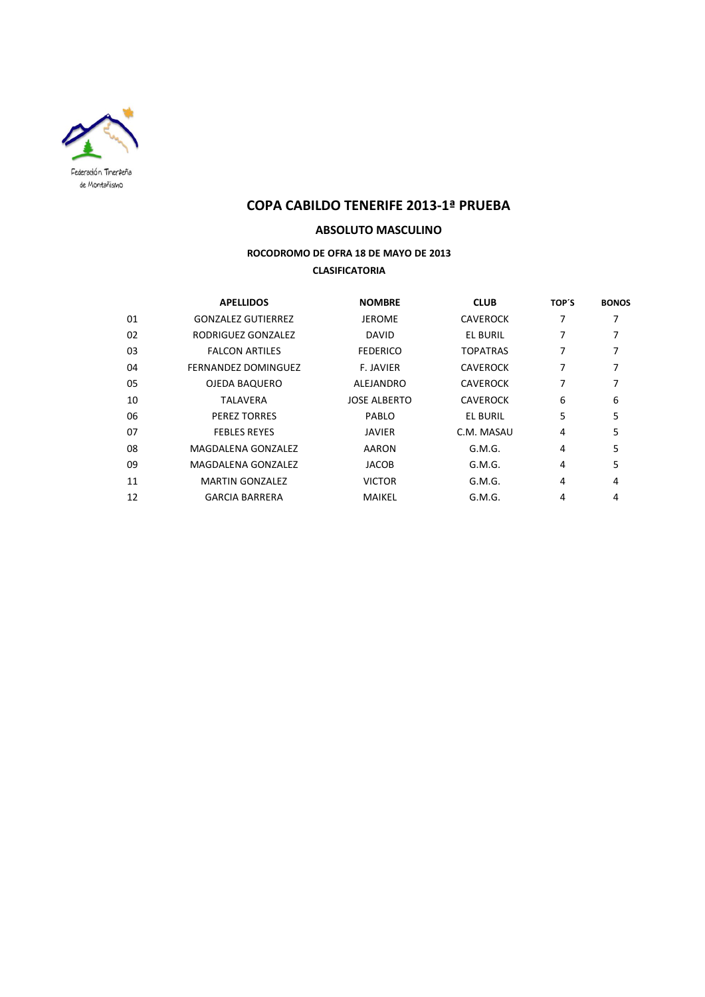

## **ABSOLUTO MASCULINO**

# **ROCODROMO DE OFRA 18 DE MAYO DE 2013**

## **CLASIFICATORIA**

|    | <b>APELLIDOS</b>          | <b>NOMBRE</b>       | <b>CLUB</b>     | TOP'S | <b>BONOS</b> |
|----|---------------------------|---------------------|-----------------|-------|--------------|
| 01 | <b>GONZALEZ GUTIERREZ</b> | <b>JEROME</b>       | <b>CAVEROCK</b> | 7     | 7            |
| 02 | RODRIGUEZ GONZALEZ        | <b>DAVID</b>        | <b>EL BURIL</b> | 7     | 7            |
| 03 | <b>FALCON ARTILES</b>     | <b>FEDERICO</b>     | <b>TOPATRAS</b> | 7     | 7            |
| 04 | FERNANDEZ DOMINGUEZ       | F. JAVIER           | <b>CAVEROCK</b> | 7     | 7            |
| 05 | OJEDA BAQUERO             | ALEJANDRO           | <b>CAVEROCK</b> | 7     | 7            |
| 10 | TALAVERA                  | <b>JOSE ALBERTO</b> | <b>CAVEROCK</b> | 6     | 6            |
| 06 | <b>PEREZ TORRES</b>       | PABLO               | <b>EL BURIL</b> | 5     | 5            |
| 07 | <b>FEBLES REYES</b>       | JAVIER              | C.M. MASAU      | 4     | 5            |
| 08 | MAGDALENA GONZALEZ        | AARON               | G.M.G.          | 4     | 5            |
| 09 | MAGDALENA GONZALEZ        | <b>JACOB</b>        | G.M.G.          | 4     | 5            |
| 11 | <b>MARTIN GONZALEZ</b>    | <b>VICTOR</b>       | G.M.G.          | 4     | 4            |
| 12 | <b>GARCIA BARRERA</b>     | MAIKEL              | G.M.G.          | 4     | 4            |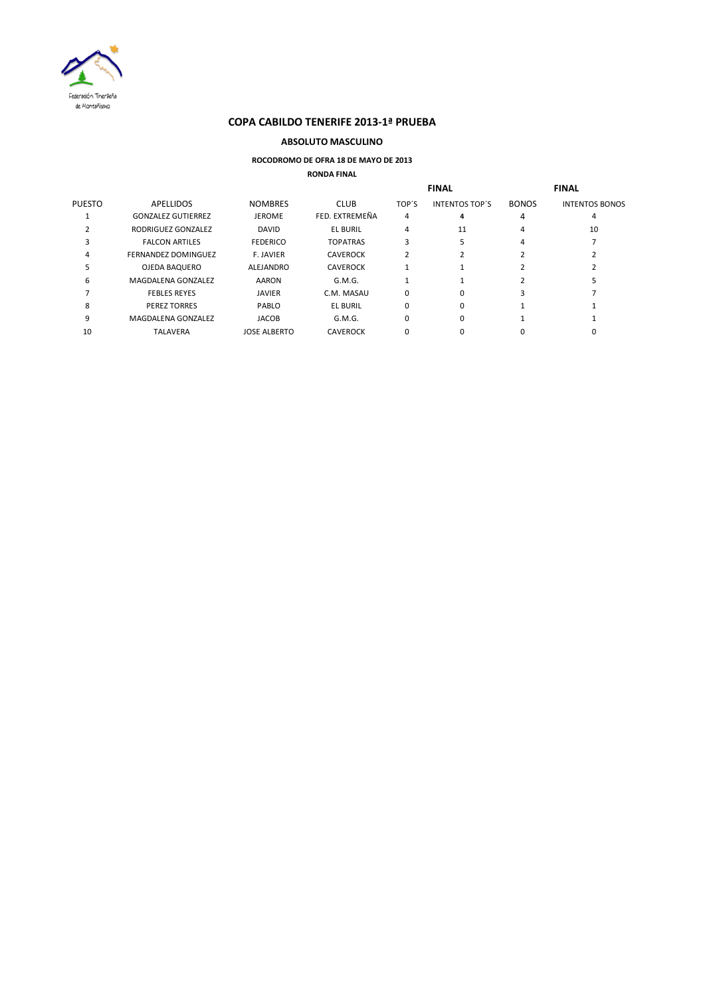

#### **ABSOLUTO MASCULINO**

# **ROCODROMO DE OFRA 18 DE MAYO DE 2013**

**RONDA FINAL**

|               |                           |                     |                 |       | <b>FINAL</b>          |              | <b>FINAL</b>          |
|---------------|---------------------------|---------------------|-----------------|-------|-----------------------|--------------|-----------------------|
| <b>PUESTO</b> | <b>APELLIDOS</b>          | <b>NOMBRES</b>      | <b>CLUB</b>     | TOP'S | <b>INTENTOS TOP'S</b> | <b>BONOS</b> | <b>INTENTOS BONOS</b> |
|               | <b>GONZALEZ GUTIERREZ</b> | <b>JEROME</b>       | FED. EXTREMEÑA  | 4     | 4                     | 4            |                       |
|               | RODRIGUEZ GONZALEZ        | <b>DAVID</b>        | <b>EL BURIL</b> | 4     | 11                    | 4            | 10                    |
|               | <b>FALCON ARTILES</b>     | <b>FEDERICO</b>     | <b>TOPATRAS</b> |       |                       | 4            |                       |
| 4             | FERNANDEZ DOMINGUEZ       | <b>F. JAVIER</b>    | <b>CAVEROCK</b> |       |                       |              |                       |
|               | OJEDA BAQUERO             | <b>ALEJANDRO</b>    | <b>CAVEROCK</b> |       |                       |              |                       |
| 6             | MAGDALENA GONZALEZ        | <b>AARON</b>        | G.M.G.          |       |                       |              |                       |
|               | <b>FEBLES REYES</b>       | <b>JAVIER</b>       | C.M. MASAU      |       |                       |              |                       |
| 8             | <b>PEREZ TORRES</b>       | PABLO               | <b>EL BURIL</b> |       | 0                     |              |                       |
| 9             | MAGDALENA GONZALEZ        | <b>JACOB</b>        | G.M.G.          |       | 0                     |              |                       |
| 10            | <b>TALAVERA</b>           | <b>JOSE ALBERTO</b> | <b>CAVEROCK</b> |       |                       |              |                       |